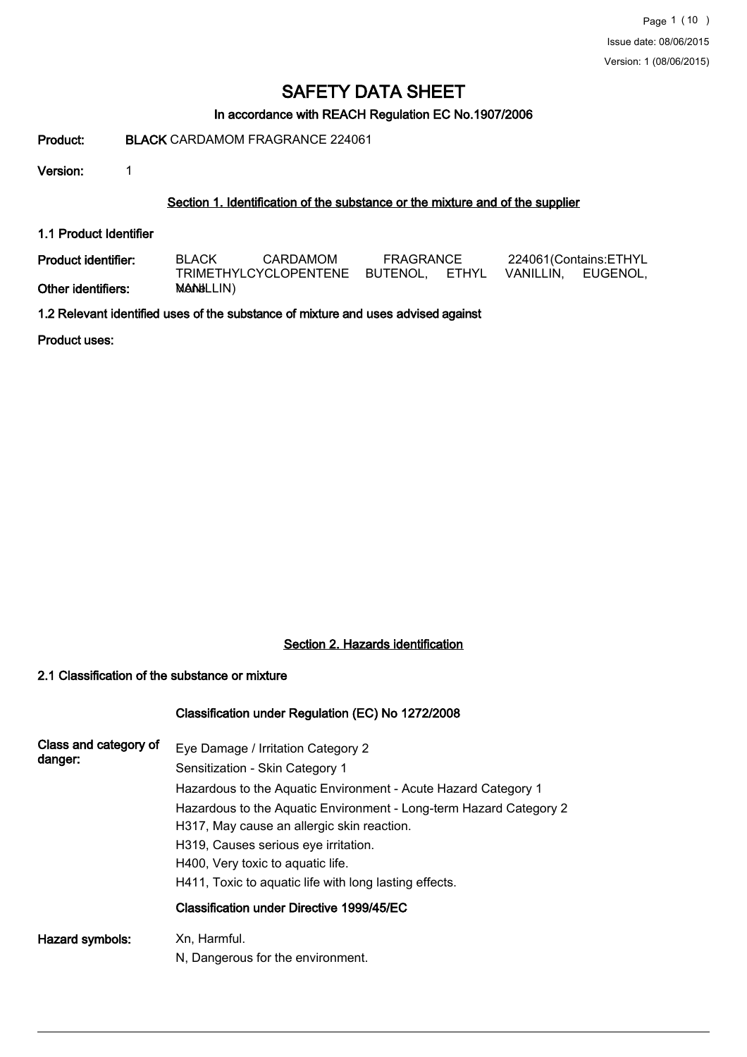## In accordance with REACH Regulation EC No.1907/2006

## Product: BLACK CARDAMOM FRAGRANCE 224061

Version: 1

#### Section 1. Identification of the substance or the mixture and of the supplier

1.1 Product Identifier

| Product identifier: | CARDAMOM<br><b>BLACK</b> |                                                         | FRAGRANCE |  | 224061(Contains:ETHYL |  |
|---------------------|--------------------------|---------------------------------------------------------|-----------|--|-----------------------|--|
|                     |                          | TRIMETHYLCYCLOPENTENE BUTENOL. ETHYL VANILLIN. EUGENOL. |           |  |                       |  |
| Other identifiers:  | <b>MANELLIN)</b>         |                                                         |           |  |                       |  |

1.2 Relevant identified uses of the substance of mixture and uses advised against

Product uses:

## Section 2. Hazards identification

## 2.1 Classification of the substance or mixture

## Classification under Regulation (EC) No 1272/2008

| Class and category of<br>danger: | Eye Damage / Irritation Category 2<br>Sensitization - Skin Category 1                                            |
|----------------------------------|------------------------------------------------------------------------------------------------------------------|
|                                  | Hazardous to the Aquatic Environment - Acute Hazard Category 1                                                   |
|                                  | Hazardous to the Aquatic Environment - Long-term Hazard Category 2<br>H317, May cause an allergic skin reaction. |
|                                  | H319, Causes serious eye irritation.                                                                             |
|                                  | H400, Very toxic to aquatic life.                                                                                |
|                                  | H411, Toxic to aquatic life with long lasting effects.                                                           |
|                                  | Classification under Directive 1999/45/EC                                                                        |
| Hazard symbols:                  | Xn, Harmful.                                                                                                     |
|                                  | N, Dangerous for the environment.                                                                                |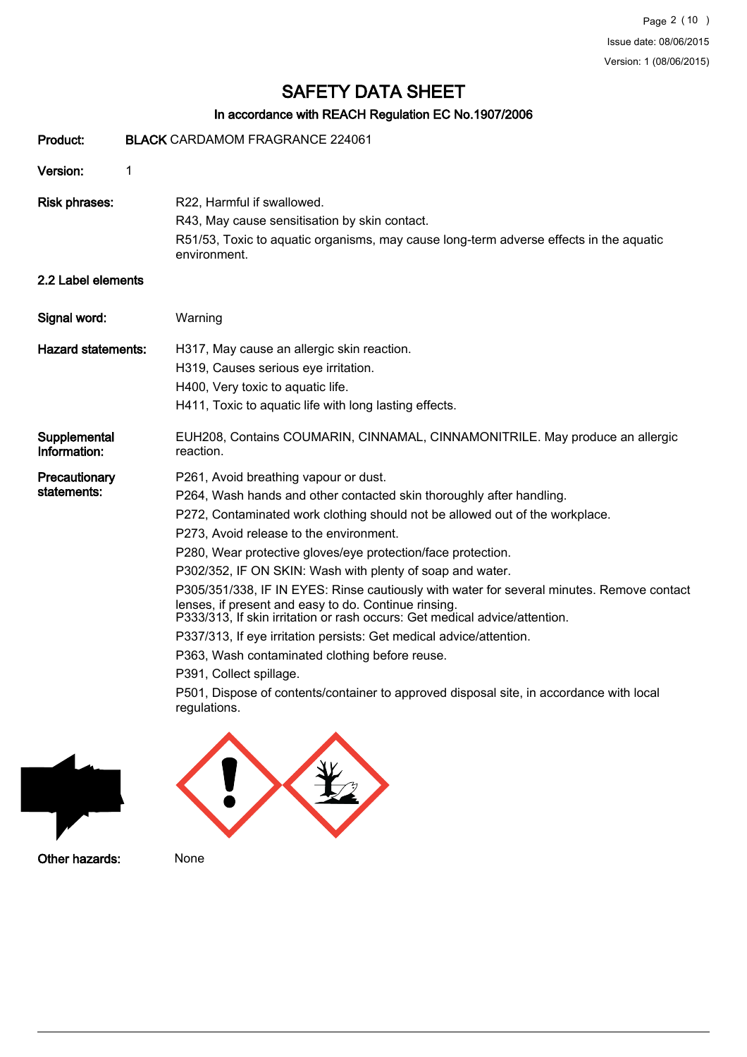## In accordance with REACH Regulation EC No.1907/2006

| Product:                     |   | <b>BLACK CARDAMOM FRAGRANCE 224061</b>                                                                                                                                                                                                                                                                                                                                                                                                                                                                                                                                                                                                                                                                                                                                                                                                                                  |
|------------------------------|---|-------------------------------------------------------------------------------------------------------------------------------------------------------------------------------------------------------------------------------------------------------------------------------------------------------------------------------------------------------------------------------------------------------------------------------------------------------------------------------------------------------------------------------------------------------------------------------------------------------------------------------------------------------------------------------------------------------------------------------------------------------------------------------------------------------------------------------------------------------------------------|
| Version:                     | 1 |                                                                                                                                                                                                                                                                                                                                                                                                                                                                                                                                                                                                                                                                                                                                                                                                                                                                         |
| <b>Risk phrases:</b>         |   | R22, Harmful if swallowed.<br>R43, May cause sensitisation by skin contact.<br>R51/53, Toxic to aquatic organisms, may cause long-term adverse effects in the aquatic<br>environment.                                                                                                                                                                                                                                                                                                                                                                                                                                                                                                                                                                                                                                                                                   |
| 2.2 Label elements           |   |                                                                                                                                                                                                                                                                                                                                                                                                                                                                                                                                                                                                                                                                                                                                                                                                                                                                         |
| Signal word:                 |   | Warning                                                                                                                                                                                                                                                                                                                                                                                                                                                                                                                                                                                                                                                                                                                                                                                                                                                                 |
| <b>Hazard statements:</b>    |   | H317, May cause an allergic skin reaction.<br>H319, Causes serious eye irritation.<br>H400, Very toxic to aquatic life.<br>H411, Toxic to aquatic life with long lasting effects.                                                                                                                                                                                                                                                                                                                                                                                                                                                                                                                                                                                                                                                                                       |
| Supplemental<br>Information: |   | EUH208, Contains COUMARIN, CINNAMAL, CINNAMONITRILE. May produce an allergic<br>reaction.                                                                                                                                                                                                                                                                                                                                                                                                                                                                                                                                                                                                                                                                                                                                                                               |
| Precautionary<br>statements: |   | P261, Avoid breathing vapour or dust.<br>P264, Wash hands and other contacted skin thoroughly after handling.<br>P272, Contaminated work clothing should not be allowed out of the workplace.<br>P273, Avoid release to the environment.<br>P280, Wear protective gloves/eye protection/face protection.<br>P302/352, IF ON SKIN: Wash with plenty of soap and water.<br>P305/351/338, IF IN EYES: Rinse cautiously with water for several minutes. Remove contact<br>lenses, if present and easy to do. Continue rinsing.<br>P333/313, If skin irritation or rash occurs: Get medical advice/attention.<br>P337/313, If eye irritation persists: Get medical advice/attention.<br>P363, Wash contaminated clothing before reuse.<br>P391, Collect spillage.<br>P501, Dispose of contents/container to approved disposal site, in accordance with local<br>regulations. |



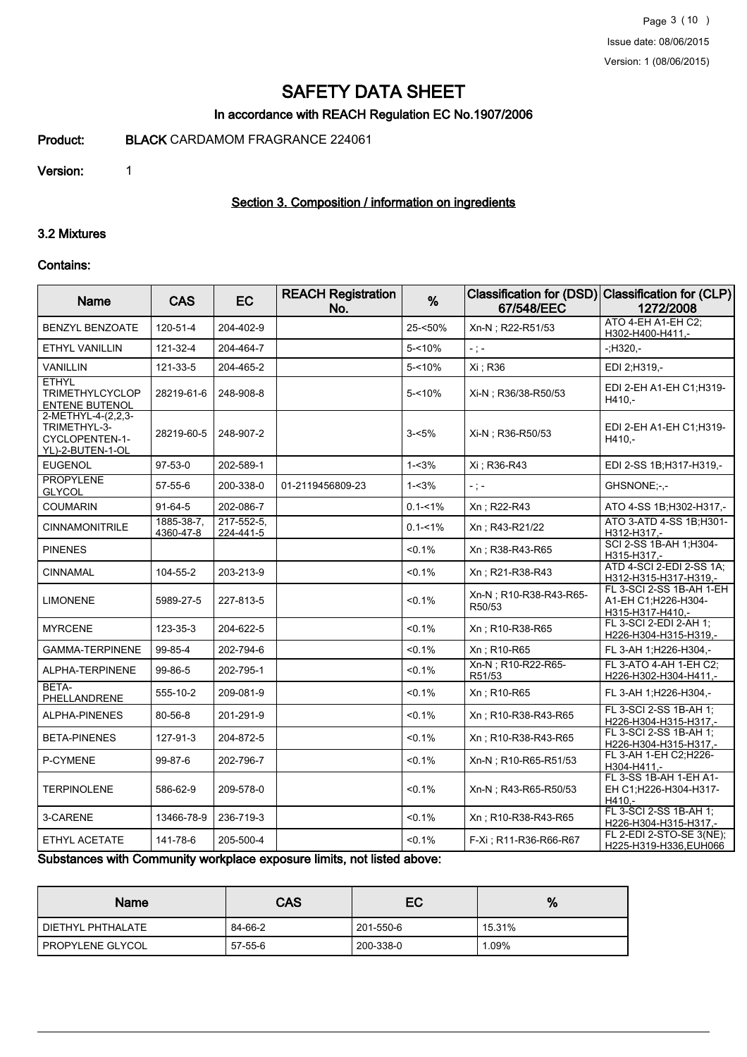### In accordance with REACH Regulation EC No.1907/2006

Product: BLACK CARDAMOM FRAGRANCE 224061

#### Version: 1

## Section 3. Composition / information on ingredients

## 3.2 Mixtures

#### Contains:

| Name                                                                     | <b>CAS</b>              | <b>EC</b>                    | <b>REACH Registration</b><br>No. | %           | 67/548/EEC                       | Classification for (DSD) Classification for (CLP)<br>1272/2008      |
|--------------------------------------------------------------------------|-------------------------|------------------------------|----------------------------------|-------------|----------------------------------|---------------------------------------------------------------------|
| BENZYL BENZOATE                                                          | 120-51-4                | 204-402-9                    |                                  | 25-<50%     | Xn-N; R22-R51/53                 | ATO 4-EH A1-EH C2;<br>H302-H400-H411,-                              |
| <b>ETHYL VANILLIN</b>                                                    | 121-32-4                | 204-464-7                    |                                  | $5 - 10%$   | $-$ ; $-$                        | $-11320 -$                                                          |
| <b>VANILLIN</b>                                                          | 121-33-5                | 204-465-2                    |                                  | $5 - 10%$   | Xi ; R36                         | EDI 2;H319,-                                                        |
| <b>ETHYL</b><br><b>TRIMETHYLCYCLOP</b><br><b>ENTENE BUTENOL</b>          | 28219-61-6              | 248-908-8                    |                                  | $5 - 10%$   | Xi-N : R36/38-R50/53             | EDI 2-EH A1-EH C1;H319-<br>H410,-                                   |
| 2-METHYL-4-(2,2,3-<br>TRIMETHYL-3-<br>CYCLOPENTEN-1-<br>YL)-2-BUTEN-1-OL | 28219-60-5              | 248-907-2                    |                                  | $3 - 5%$    | Xi-N : R36-R50/53                | EDI 2-EH A1-EH C1:H319-<br>H410,-                                   |
| <b>EUGENOL</b>                                                           | 97-53-0                 | 202-589-1                    |                                  | $1 - 3%$    | Xi ; R36-R43                     | EDI 2-SS 1B;H317-H319,-                                             |
| <b>PROPYLENE</b><br><b>GLYCOL</b>                                        | $57 - 55 - 6$           | 200-338-0                    | 01-2119456809-23                 | $1 - 3%$    | $-$ ; $-$                        | GHSNONE:-.-                                                         |
| <b>COUMARIN</b>                                                          | $91 - 64 - 5$           | 202-086-7                    |                                  | $0.1 - 1\%$ | Xn; R22-R43                      | ATO 4-SS 1B; H302-H317,-                                            |
| <b>CINNAMONITRILE</b>                                                    | 1885-38-7,<br>4360-47-8 | $217 - 552 - 5$<br>224-441-5 |                                  | $0.1 - 1\%$ | Xn; R43-R21/22                   | ATO 3-ATD 4-SS 1B; H301-<br>H312-H317.-                             |
| <b>PINENES</b>                                                           |                         |                              |                                  | $< 0.1\%$   | Xn; R38-R43-R65                  | SCI 2-SS 1B-AH 1;H304-<br>H315-H317,-                               |
| <b>CINNAMAL</b>                                                          | 104-55-2                | 203-213-9                    |                                  | < 0.1%      | Xn: R21-R38-R43                  | ATD 4-SCI 2-EDI 2-SS 1A;<br>H312-H315-H317-H319,-                   |
| LIMONENE                                                                 | 5989-27-5               | 227-813-5                    |                                  | $< 0.1\%$   | Xn-N; R10-R38-R43-R65-<br>R50/53 | FL 3-SCI 2-SS 1B-AH 1-EH<br>A1-EH C1;H226-H304-<br>H315-H317-H410,- |
| <b>MYRCENE</b>                                                           | 123-35-3                | 204-622-5                    |                                  | < 0.1%      | Xn: R10-R38-R65                  | FL 3-SCI 2-EDI 2-AH 1:<br>H226-H304-H315-H319,-                     |
| <b>GAMMA-TERPINENE</b>                                                   | 99-85-4                 | 202-794-6                    |                                  | < 0.1%      | Xn; R10-R65                      | FL 3-AH 1;H226-H304,-                                               |
| ALPHA-TERPINENE                                                          | 99-86-5                 | 202-795-1                    |                                  | $< 0.1\%$   | Xn-N; R10-R22-R65-<br>R51/53     | FL 3-ATO 4-AH 1-EH C2:<br>H226-H302-H304-H411,-                     |
| BETA-<br>PHELLANDRENE                                                    | 555-10-2                | 209-081-9                    |                                  | $< 0.1\%$   | Xn; R10-R65                      | FL 3-AH 1; H226-H304,-                                              |
| <b>ALPHA-PINENES</b>                                                     | 80-56-8                 | 201-291-9                    |                                  | $< 0.1\%$   | Xn: R10-R38-R43-R65              | FL 3-SCI 2-SS 1B-AH 1;<br>H226-H304-H315-H317,-                     |
| <b>BETA-PINENES</b>                                                      | 127-91-3                | 204-872-5                    |                                  | < 0.1%      | Xn; R10-R38-R43-R65              | FL 3-SCI 2-SS 1B-AH 1:<br>H226-H304-H315-H317,-                     |
| P-CYMENE                                                                 | 99-87-6                 | 202-796-7                    |                                  | $< 0.1\%$   | Xn-N ; R10-R65-R51/53            | FL 3-AH 1-EH C2;H226-<br>H304-H411,-                                |
| <b>TERPINOLENE</b>                                                       | 586-62-9                | 209-578-0                    |                                  | $< 0.1\%$   | Xn-N ; R43-R65-R50/53            | FL 3-SS 1B-AH 1-EH A1-<br>EH C1;H226-H304-H317-<br>H410.-           |
| 3-CARENE                                                                 | 13466-78-9              | 236-719-3                    |                                  | < 0.1%      | Xn; R10-R38-R43-R65              | FL 3-SCI 2-SS 1B-AH 1:<br>H226-H304-H315-H317,-                     |
| ETHYL ACETATE                                                            | 141-78-6                | 205-500-4                    |                                  | $< 0.1\%$   | F-Xi: R11-R36-R66-R67            | FL 2-EDI 2-STO-SE 3(NE);<br>H225-H319-H336, EUH066                  |

Substances with Community workplace exposure limits, not listed above:

| Name              | <b>CAS</b>    | EC        | %      |
|-------------------|---------------|-----------|--------|
| DIETHYL PHTHALATE | 84-66-2       | 201-550-6 | 15.31% |
| PROPYLENE GLYCOL  | $57 - 55 - 6$ | 200-338-0 | .09%   |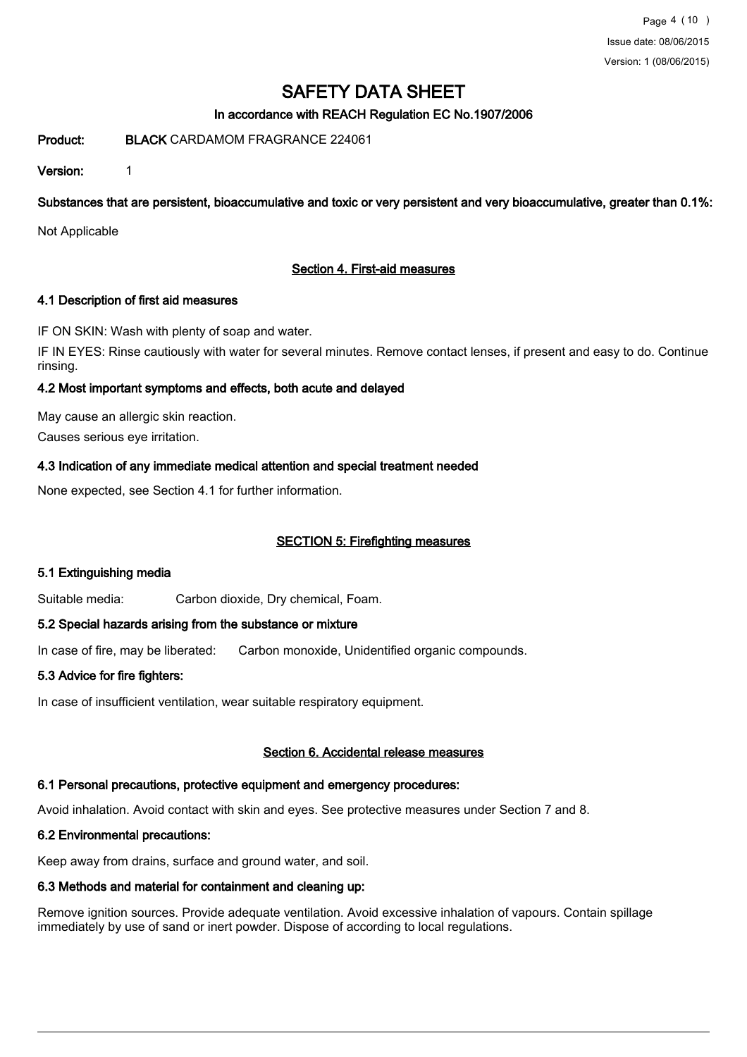## In accordance with REACH Regulation EC No.1907/2006

Product: BLACK CARDAMOM FRAGRANCE 224061

Version: 1

Substances that are persistent, bioaccumulative and toxic or very persistent and very bioaccumulative, greater than 0.1%:

Not Applicable

## Section 4. First-aid measures

#### 4.1 Description of first aid measures

IF ON SKIN: Wash with plenty of soap and water. IF IN EYES: Rinse cautiously with water for several minutes. Remove contact lenses, if present and easy to do. Continue rinsing.

## 4.2 Most important symptoms and effects, both acute and delayed

May cause an allergic skin reaction. Causes serious eye irritation.

## 4.3 Indication of any immediate medical attention and special treatment needed

None expected, see Section 4.1 for further information.

## SECTION 5: Firefighting measures

## 5.1 Extinguishing media

Suitable media: Carbon dioxide, Dry chemical, Foam.

#### 5.2 Special hazards arising from the substance or mixture

In case of fire, may be liberated: Carbon monoxide, Unidentified organic compounds.

## 5.3 Advice for fire fighters:

In case of insufficient ventilation, wear suitable respiratory equipment.

#### Section 6. Accidental release measures

## 6.1 Personal precautions, protective equipment and emergency procedures:

Avoid inhalation. Avoid contact with skin and eyes. See protective measures under Section 7 and 8.

## 6.2 Environmental precautions:

Keep away from drains, surface and ground water, and soil.

## 6.3 Methods and material for containment and cleaning up:

Remove ignition sources. Provide adequate ventilation. Avoid excessive inhalation of vapours. Contain spillage immediately by use of sand or inert powder. Dispose of according to local regulations.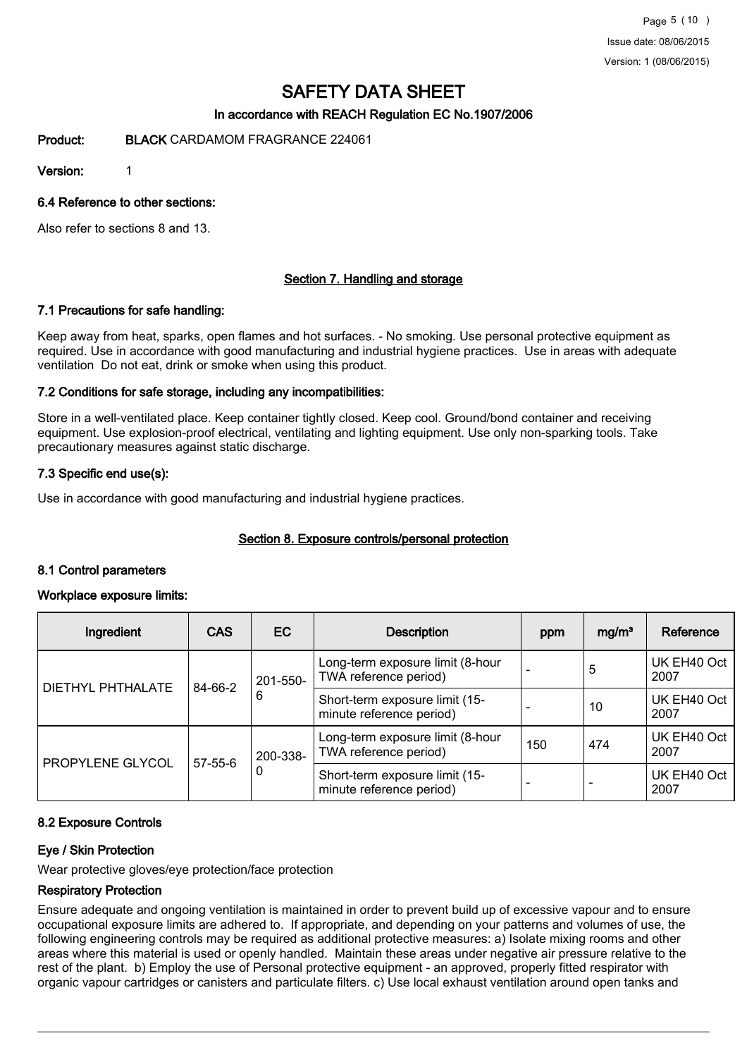Page 5 (10 ) Issue date: 08/06/2015 Version: 1 (08/06/2015)

# SAFETY DATA SHEET

## In accordance with REACH Regulation EC No.1907/2006

Product: BLACK CARDAMOM FRAGRANCE 224061

Version: 1

6.4 Reference to other sections:

Also refer to sections 8 and 13.

#### Section 7. Handling and storage

#### 7.1 Precautions for safe handling:

Keep away from heat, sparks, open flames and hot surfaces. - No smoking. Use personal protective equipment as required. Use in accordance with good manufacturing and industrial hygiene practices. Use in areas with adequate ventilation Do not eat, drink or smoke when using this product.

#### 7.2 Conditions for safe storage, including any incompatibilities:

Store in a well-ventilated place. Keep container tightly closed. Keep cool. Ground/bond container and receiving equipment. Use explosion-proof electrical, ventilating and lighting equipment. Use only non-sparking tools. Take precautionary measures against static discharge.

#### 7.3 Specific end use(s):

Use in accordance with good manufacturing and industrial hygiene practices.

## Section 8. Exposure controls/personal protection

#### 8.1 Control parameters

#### Workplace exposure limits:

| Ingredient        | <b>CAS</b>    | EC.                                                                                                                                      | <b>Description</b>                                         | ppm                      | mg/m <sup>3</sup>   | Reference           |
|-------------------|---------------|------------------------------------------------------------------------------------------------------------------------------------------|------------------------------------------------------------|--------------------------|---------------------|---------------------|
| DIETHYL PHTHALATE |               | 201-550-                                                                                                                                 | Long-term exposure limit (8-hour<br>TWA reference period)  |                          | 5                   | UK EH40 Oct<br>2007 |
|                   | 84-66-2       | 6                                                                                                                                        | Short-term exposure limit (15-<br>minute reference period) | <b>11</b>                | 10                  | UK EH40 Oct<br>2007 |
| PROPYLENE GLYCOL  |               | Long-term exposure limit (8-hour<br>TWA reference period)<br>200-338-<br>0<br>Short-term exposure limit (15-<br>minute reference period) |                                                            | 150                      | 474                 | UK EH40 Oct<br>2007 |
|                   | $57 - 55 - 6$ |                                                                                                                                          | $\overline{\phantom{a}}$                                   | $\overline{\phantom{0}}$ | UK EH40 Oct<br>2007 |                     |

#### 8.2 Exposure Controls

#### Eye / Skin Protection

Wear protective gloves/eye protection/face protection

#### Respiratory Protection

Ensure adequate and ongoing ventilation is maintained in order to prevent build up of excessive vapour and to ensure occupational exposure limits are adhered to. If appropriate, and depending on your patterns and volumes of use, the following engineering controls may be required as additional protective measures: a) Isolate mixing rooms and other areas where this material is used or openly handled. Maintain these areas under negative air pressure relative to the rest of the plant. b) Employ the use of Personal protective equipment - an approved, properly fitted respirator with organic vapour cartridges or canisters and particulate filters. c) Use local exhaust ventilation around open tanks and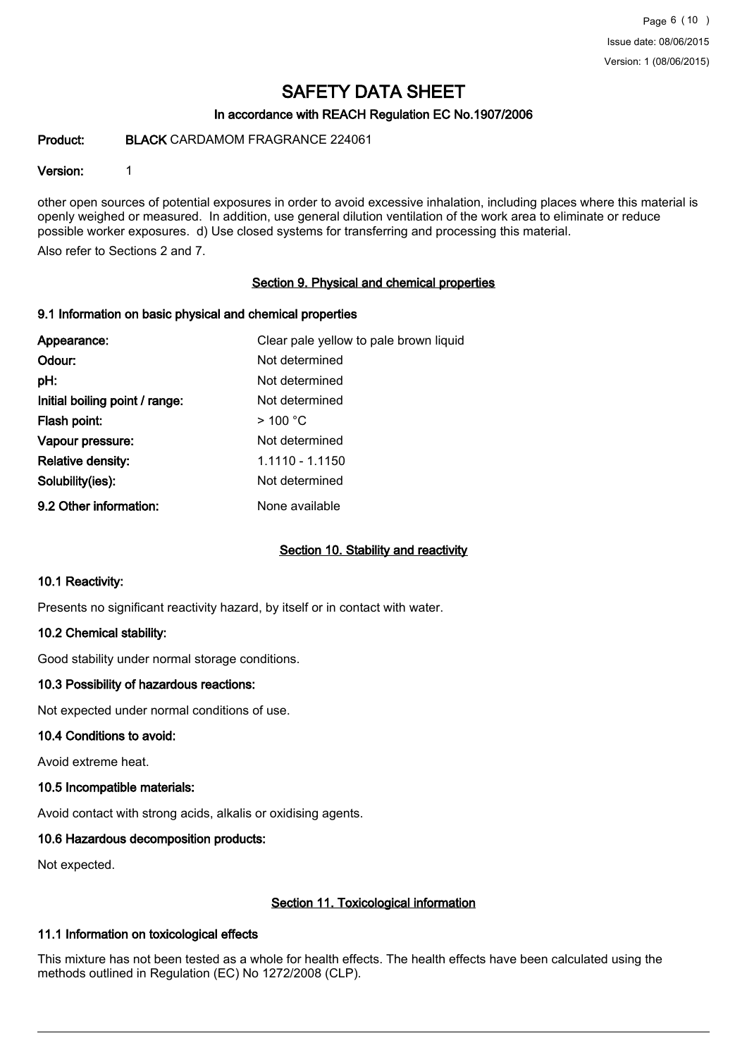## In accordance with REACH Regulation EC No.1907/2006

### Product: BLACK CARDAMOM FRAGRANCE 224061

#### Version: 1

other open sources of potential exposures in order to avoid excessive inhalation, including places where this material is openly weighed or measured. In addition, use general dilution ventilation of the work area to eliminate or reduce possible worker exposures. d) Use closed systems for transferring and processing this material.

Also refer to Sections 2 and 7.

#### Section 9. Physical and chemical properties

#### 9.1 Information on basic physical and chemical properties

| Appearance:                    | Clear pale yellow to pale brown liquid |
|--------------------------------|----------------------------------------|
| Odour:                         | Not determined                         |
| pH:                            | Not determined                         |
| Initial boiling point / range: | Not determined                         |
| Flash point:                   | $>$ 100 °C                             |
| Vapour pressure:               | Not determined                         |
| Relative density:              | 1.1110 - 1.1150                        |
| Solubility(ies):               | Not determined                         |
| 9.2 Other information:         | None available                         |

## Section 10. Stability and reactivity

#### 10.1 Reactivity:

Presents no significant reactivity hazard, by itself or in contact with water.

## 10.2 Chemical stability:

Good stability under normal storage conditions.

#### 10.3 Possibility of hazardous reactions:

Not expected under normal conditions of use.

#### 10.4 Conditions to avoid:

Avoid extreme heat.

#### 10.5 Incompatible materials:

Avoid contact with strong acids, alkalis or oxidising agents.

## 10.6 Hazardous decomposition products:

Not expected.

## Section 11. Toxicological information

## 11.1 Information on toxicological effects

This mixture has not been tested as a whole for health effects. The health effects have been calculated using the methods outlined in Regulation (EC) No 1272/2008 (CLP).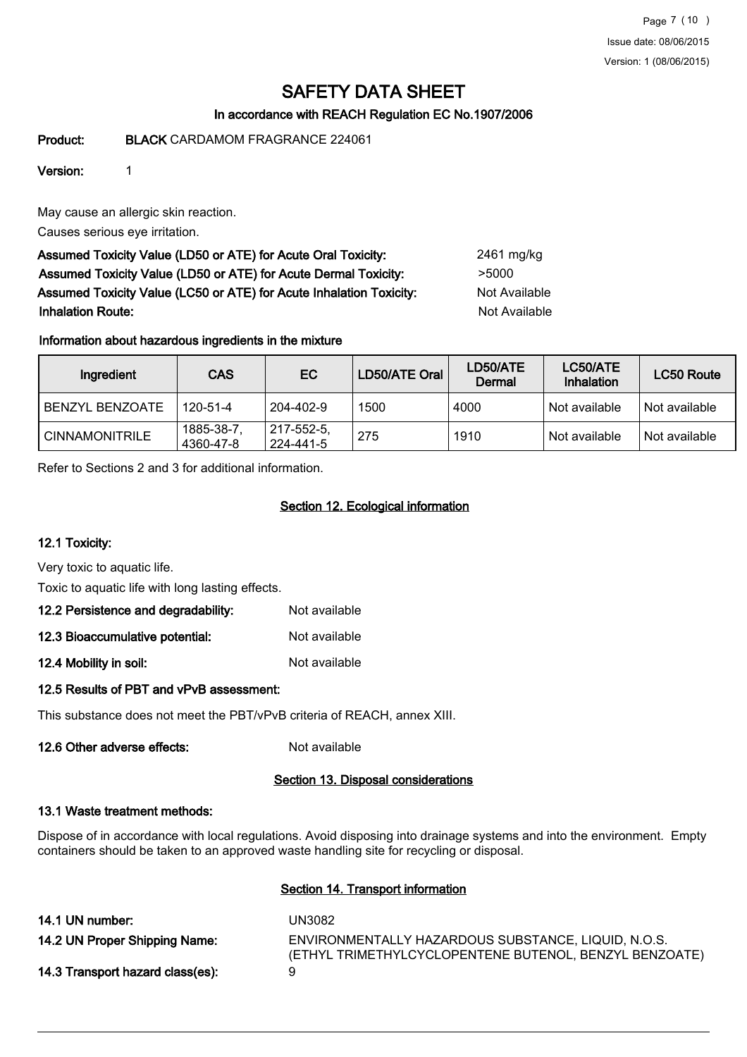Page 7 (10 ) Issue date: 08/06/2015 Version: 1 (08/06/2015)

# SAFETY DATA SHEET

## In accordance with REACH Regulation EC No.1907/2006

Product: BLACK CARDAMOM FRAGRANCE 224061

## Version: 1

May cause an allergic skin reaction.

Causes serious eye irritation.

Assumed Toxicity Value (LD50 or ATE) for Acute Oral Toxicity: 2461 mg/kg Assumed Toxicity Value (LD50 or ATE) for Acute Dermal Toxicity: > 5000 Assumed Toxicity Value (LC50 or ATE) for Acute Inhalation Toxicity: Not Available **Inhalation Route:** Not Available in the United States of Available in the United States of Available in the United States of Available in the United States of Available in the United States of Available in the United Stat

## Information about hazardous ingredients in the mixture

| Ingredient            | <b>CAS</b>             | EC.                     | LD50/ATE Oral | LD50/ATE<br>Dermal | LC50/ATE<br>Inhalation | LC50 Route    |
|-----------------------|------------------------|-------------------------|---------------|--------------------|------------------------|---------------|
| BENZYL BENZOATE       | 120-51-4               | 204-402-9               | 1500          | 4000               | Not available          | Not available |
| <b>CINNAMONITRILE</b> | 1885-38-7<br>4360-47-8 | 217-552-5,<br>224-441-5 | 275           | 1910               | Not available          | Not available |

Refer to Sections 2 and 3 for additional information.

## Section 12. Ecological information

## 12.1 Toxicity:

Very toxic to aquatic life.

Toxic to aquatic life with long lasting effects.

## 12.2 Persistence and degradability: Not available

| 12.3 Bioaccumulative potential: | Not available |
|---------------------------------|---------------|
|---------------------------------|---------------|

12.4 Mobility in soil: Not available

## 12.5 Results of PBT and vPvB assessment:

This substance does not meet the PBT/vPvB criteria of REACH, annex XIII.

# 12.6 Other adverse effects: Not available

## Section 13. Disposal considerations

## 13.1 Waste treatment methods:

Dispose of in accordance with local regulations. Avoid disposing into drainage systems and into the environment. Empty containers should be taken to an approved waste handling site for recycling or disposal.

## Section 14. Transport information

| 14.1 UN number:                  | UN3082                                                                                                        |
|----------------------------------|---------------------------------------------------------------------------------------------------------------|
| 14.2 UN Proper Shipping Name:    | ENVIRONMENTALLY HAZARDOUS SUBSTANCE, LIQUID, N.O.S.<br>(ETHYL TRIMETHYLCYCLOPENTENE BUTENOL, BENZYL BENZOATE) |
| 14.3 Transport hazard class(es): | Q                                                                                                             |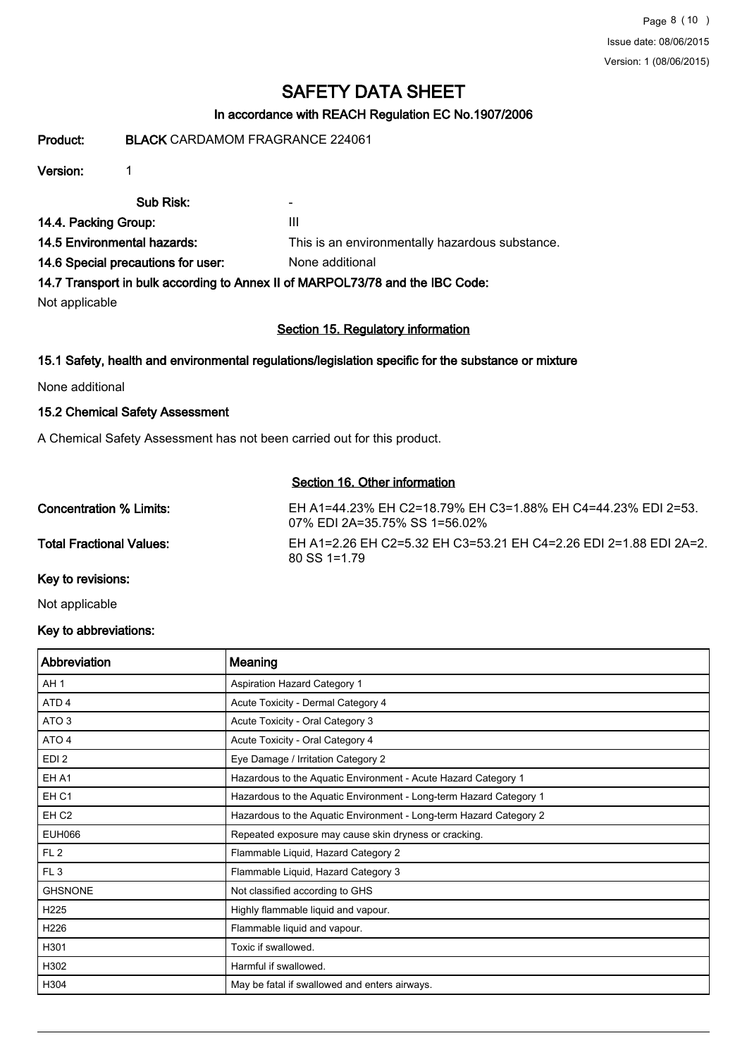## In accordance with REACH Regulation EC No.1907/2006

Product: BLACK CARDAMOM FRAGRANCE 224061

## Version: 1

Sub Risk: - 14.4. Packing Group: III 14.5 Environmental hazards: This is an environmentally hazardous substance.

14.6 Special precautions for user: None additional

14.7 Transport in bulk according to Annex II of MARPOL73/78 and the IBC Code:

Not applicable

## Section 15. Regulatory information

## 15.1 Safety, health and environmental regulations/legislation specific for the substance or mixture

None additional

## 15.2 Chemical Safety Assessment

A Chemical Safety Assessment has not been carried out for this product.

## Section 16. Other information

| Concentration % Limits:  | EH A1=44.23% EH C2=18.79% EH C3=1.88% EH C4=44.23% EDI 2=53.<br>07% EDI 2A=35.75% SS 1=56.02% |
|--------------------------|-----------------------------------------------------------------------------------------------|
| Total Fractional Values: | EH A1=2.26 EH C2=5.32 EH C3=53.21 EH C4=2.26 EDI 2=1.88 EDI 2A=2.<br>$80$ SS 1=1 79           |
| Kay to revisions:        |                                                                                               |

Key to revisions:

Not applicable

## Key to abbreviations:

| Abbreviation     | Meaning                                                            |
|------------------|--------------------------------------------------------------------|
| AH <sub>1</sub>  | Aspiration Hazard Category 1                                       |
| ATD <sub>4</sub> | Acute Toxicity - Dermal Category 4                                 |
| ATO <sub>3</sub> | Acute Toxicity - Oral Category 3                                   |
| ATO 4            | Acute Toxicity - Oral Category 4                                   |
| EDI <sub>2</sub> | Eye Damage / Irritation Category 2                                 |
| EH A1            | Hazardous to the Aquatic Environment - Acute Hazard Category 1     |
| EH <sub>C1</sub> | Hazardous to the Aquatic Environment - Long-term Hazard Category 1 |
| EH <sub>C2</sub> | Hazardous to the Aquatic Environment - Long-term Hazard Category 2 |
| <b>EUH066</b>    | Repeated exposure may cause skin dryness or cracking.              |
| FL <sub>2</sub>  | Flammable Liquid, Hazard Category 2                                |
| FL <sub>3</sub>  | Flammable Liquid, Hazard Category 3                                |
| <b>GHSNONE</b>   | Not classified according to GHS                                    |
| H <sub>225</sub> | Highly flammable liquid and vapour.                                |
| H226             | Flammable liquid and vapour.                                       |
| H301             | Toxic if swallowed.                                                |
| H302             | Harmful if swallowed.                                              |
| H304             | May be fatal if swallowed and enters airways.                      |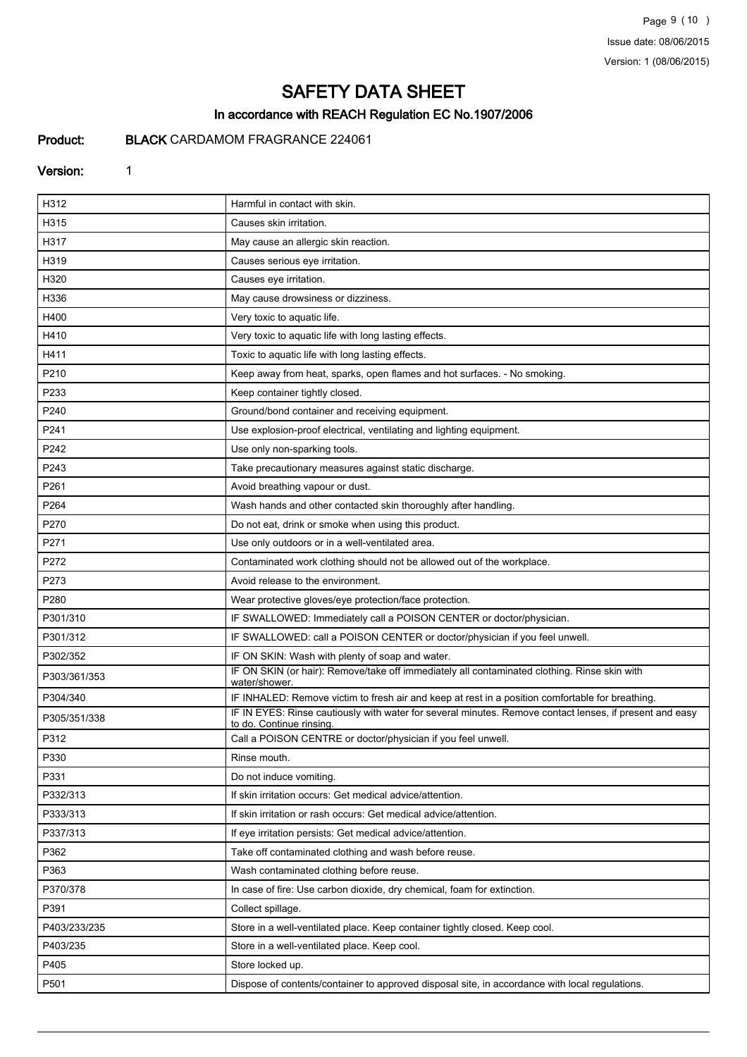Page 9 (10 ) Issue date: 08/06/2015 Version: 1 (08/06/2015)

# SAFETY DATA SHEET

## In accordance with REACH Regulation EC No.1907/2006

## Product: BLACK CARDAMOM FRAGRANCE 224061

#### Version: 1

| H312         | Harmful in contact with skin.                                                                                                      |
|--------------|------------------------------------------------------------------------------------------------------------------------------------|
| H315         | Causes skin irritation.                                                                                                            |
| H317         | May cause an allergic skin reaction.                                                                                               |
| H319         | Causes serious eye irritation.                                                                                                     |
| H320         | Causes eye irritation.                                                                                                             |
| H336         | May cause drowsiness or dizziness.                                                                                                 |
| H400         | Very toxic to aquatic life.                                                                                                        |
| H410         | Very toxic to aquatic life with long lasting effects.                                                                              |
| H411         | Toxic to aquatic life with long lasting effects.                                                                                   |
| P210         | Keep away from heat, sparks, open flames and hot surfaces. - No smoking.                                                           |
| P233         | Keep container tightly closed.                                                                                                     |
| P240         | Ground/bond container and receiving equipment.                                                                                     |
| P241         | Use explosion-proof electrical, ventilating and lighting equipment.                                                                |
| P242         | Use only non-sparking tools.                                                                                                       |
| P243         | Take precautionary measures against static discharge.                                                                              |
| P261         | Avoid breathing vapour or dust.                                                                                                    |
| P264         | Wash hands and other contacted skin thoroughly after handling.                                                                     |
| P270         | Do not eat, drink or smoke when using this product.                                                                                |
| P271         | Use only outdoors or in a well-ventilated area.                                                                                    |
| P272         | Contaminated work clothing should not be allowed out of the workplace.                                                             |
| P273         | Avoid release to the environment.                                                                                                  |
| P280         | Wear protective gloves/eye protection/face protection.                                                                             |
| P301/310     | IF SWALLOWED: Immediately call a POISON CENTER or doctor/physician.                                                                |
| P301/312     | IF SWALLOWED: call a POISON CENTER or doctor/physician if you feel unwell.                                                         |
| P302/352     | IF ON SKIN: Wash with plenty of soap and water.                                                                                    |
| P303/361/353 | IF ON SKIN (or hair): Remove/take off immediately all contaminated clothing. Rinse skin with<br>water/shower.                      |
| P304/340     | IF INHALED: Remove victim to fresh air and keep at rest in a position comfortable for breathing.                                   |
| P305/351/338 | IF IN EYES: Rinse cautiously with water for several minutes. Remove contact lenses, if present and easy<br>to do. Continue rinsing |
| P312         | Call a POISON CENTRE or doctor/physician if you feel unwell.                                                                       |
| P330         | Rinse mouth.                                                                                                                       |
| P331         | Do not induce vomiting.                                                                                                            |
| P332/313     | If skin irritation occurs: Get medical advice/attention.                                                                           |
| P333/313     | If skin irritation or rash occurs: Get medical advice/attention.                                                                   |
| P337/313     | If eye irritation persists: Get medical advice/attention.                                                                          |
| P362         | Take off contaminated clothing and wash before reuse.                                                                              |
| P363         | Wash contaminated clothing before reuse.                                                                                           |
| P370/378     | In case of fire: Use carbon dioxide, dry chemical, foam for extinction.                                                            |
| P391         | Collect spillage.                                                                                                                  |
| P403/233/235 | Store in a well-ventilated place. Keep container tightly closed. Keep cool.                                                        |
| P403/235     | Store in a well-ventilated place. Keep cool.                                                                                       |
| P405         | Store locked up.                                                                                                                   |
| P501         | Dispose of contents/container to approved disposal site, in accordance with local regulations.                                     |